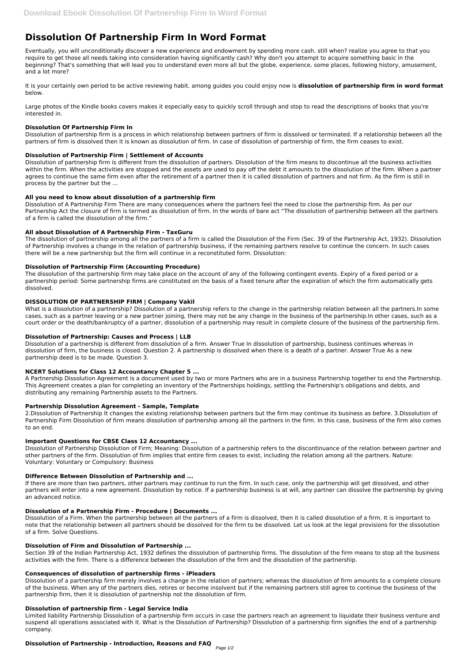# **Dissolution Of Partnership Firm In Word Format**

Eventually, you will unconditionally discover a new experience and endowment by spending more cash. still when? realize you agree to that you require to get those all needs taking into consideration having significantly cash? Why don't you attempt to acquire something basic in the beginning? That's something that will lead you to understand even more all but the globe, experience, some places, following history, amusement, and a lot more?

It is your certainly own period to be active reviewing habit. among guides you could enjoy now is **dissolution of partnership firm in word format** below.

Large photos of the Kindle books covers makes it especially easy to quickly scroll through and stop to read the descriptions of books that you're interested in.

# **Dissolution Of Partnership Firm In**

Dissolution of partnership firm is a process in which relationship between partners of firm is dissolved or terminated. If a relationship between all the partners of firm is dissolved then it is known as dissolution of firm. In case of dissolution of partnership of firm, the firm ceases to exist.

# **Dissolution of Partnership Firm | Settlement of Accounts**

Dissolution of partnership firm is different from the dissolution of partners. Dissolution of the firm means to discontinue all the business activities within the firm. When the activities are stopped and the assets are used to pay off the debt it amounts to the dissolution of the firm. When a partner agrees to continue the same firm even after the retirement of a partner then it is called dissolution of partners and not firm. As the firm is still in process by the partner but the ...

# **All you need to know about dissolution of a partnership firm**

Dissolution of A Partnership Firm There are many consequences where the partners feel the need to close the partnership firm. As per our Partnership Act the closure of firm is termed as dissolution of firm. In the words of bare act "The dissolution of partnership between all the partners of a firm is called the dissolution of the firm."

## **All about Dissolution of A Partnership Firm - TaxGuru**

The dissolution of partnership among all the partners of a firm is called the Dissolution of the Firm (Sec. 39 of the Partnership Act, 1932). Dissolution of Partnership involves a change in the relation of partnership business, if the remaining partners resolve to continue the concern. In such cases there will be a new partnership but the firm will continue in a reconstituted form. Dissolution:

## **Dissolution of Partnership Firm (Accounting Procedure)**

The dissolution of the partnership firm may take place on the account of any of the following contingent events. Expiry of a fixed period or a partnership period: Some partnership firms are constituted on the basis of a fixed tenure after the expiration of which the firm automatically gets dissolved.

## **DISSOLUTION OF PARTNERSHIP FIRM | Company Vakil**

What is a dissolution of a partnership? Dissolution of a partnership refers to the change in the partnership relation between all the partners.In some cases, such as a partner leaving or a new partner joining, there may not be any change in the business of the partnership.In other cases, such as a court order or the death/bankruptcy of a partner, dissolution of a partnership may result in complete closure of the business of the partnership firm.

## **Dissolution of Partnership: Causes and Process | LLB**

Dissolution of a partnership is different from dissolution of a firm. Answer True In dissolution of partnership, business continues whereas in dissolution of firm, the business is closed. Question 2. A partnership is dissolved when there is a death of a partner. Answer True As a new partnership deed is to be made. Question 3.

## **NCERT Solutions for Class 12 Accountancy Chapter 5 ...**

A Partnership Dissolution Agreement is a document used by two or more Partners who are in a business Partnership together to end the Partnership. This Agreement creates a plan for completing an inventory of the Partnerships holdings, settling the Partnership's obligations and debts, and distributing any remaining Partnership assets to the Partners.

## **Partnership Dissolution Agreement - Sample, Template**

2.Dissolution of Partnership It changes the existing relationship between partners but the firm may continue its business as before. 3.Dissolution of Partnership Firm Dissolution of firm means dissolution of partnership among all the partners in the firm. In this case, business of the firm also comes to an end.

## **Important Questions for CBSE Class 12 Accountancy ...**

Dissolution of Partnership Dissolution of Firm; Meaning: Dissolution of a partnership refers to the discontinuance of the relation between partner and other partners of the firm. Dissolution of firm implies that entire firm ceases to exist, including the relation among all the partners. Nature: Voluntary: Voluntary or Compulsory: Business

## **Difference Between Dissolution of Partnership and ...**

If there are more than two partners, other partners may continue to run the firm. In such case, only the partnership will get dissolved, and other partners will enter into a new agreement. Dissolution by notice. If a partnership business is at will, any partner can dissolve the partnership by giving an advanced notice.

#### **Dissolution of a Partnership Firm - Procedure | Documents ...**

Dissolution of a Firm. When the partnership between all the partners of a firm is dissolved, then it is called dissolution of a firm. It is important to note that the relationship between all partners should be dissolved for the firm to be dissolved. Let us look at the legal provisions for the dissolution of a firm. Solve Questions.

#### **Dissolution of Firm and Dissolution of Partnership ...**

Section 39 of the Indian Partnership Act, 1932 defines the dissolution of partnership firms. The dissolution of the firm means to stop all the business activities with the firm. There is a difference between the dissolution of the firm and the dissolution of the partnership.

#### **Consequences of dissolution of partnership firms - iPleaders**

Dissolution of a partnership firm merely involves a change in the relation of partners; whereas the dissolution of firm amounts to a complete closure of the business. When any of the partners dies, retires or become insolvent but if the remaining partners still agree to continue the business of the partnership firm, then it is dissolution of partnership not the dissolution of firm.

#### **Dissolution of partnership firm - Legal Service India**

Limited liability Partnership Dissolution of a partnership firm occurs in case the partners reach an agreement to liquidate their business venture and suspend all operations associated with it. What is the Dissolution of Partnership? Dissolution of a partnership firm signifies the end of a partnership company.

#### **Dissolution of Partnership - Introduction, Reasons and FAQ**